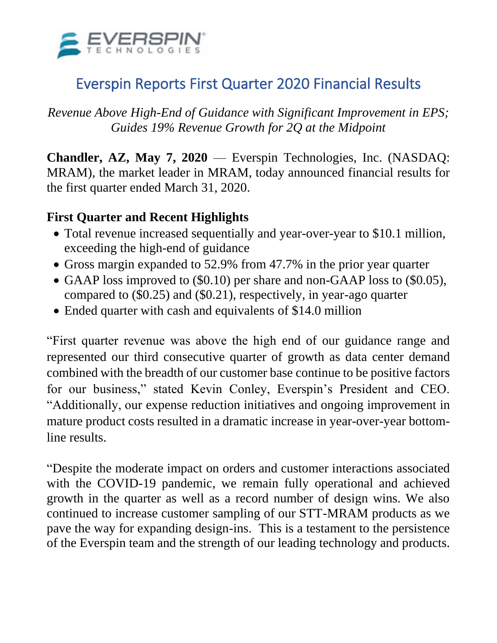

# Everspin Reports First Quarter 2020 Financial Results

*Revenue Above High-End of Guidance with Significant Improvement in EPS; Guides 19% Revenue Growth for 2Q at the Midpoint*

**Chandler, AZ, May 7, 2020** — Everspin Technologies, Inc. (NASDAQ: MRAM), the market leader in MRAM, today announced financial results for the first quarter ended March 31, 2020.

### **First Quarter and Recent Highlights**

- Total revenue increased sequentially and year-over-year to \$10.1 million, exceeding the high-end of guidance
- Gross margin expanded to 52.9% from 47.7% in the prior year quarter
- GAAP loss improved to (\$0.10) per share and non-GAAP loss to (\$0.05), compared to (\$0.25) and (\$0.21), respectively, in year-ago quarter
- Ended quarter with cash and equivalents of \$14.0 million

"First quarter revenue was above the high end of our guidance range and represented our third consecutive quarter of growth as data center demand combined with the breadth of our customer base continue to be positive factors for our business," stated Kevin Conley, Everspin's President and CEO. "Additionally, our expense reduction initiatives and ongoing improvement in mature product costs resulted in a dramatic increase in year-over-year bottomline results.

"Despite the moderate impact on orders and customer interactions associated with the COVID-19 pandemic, we remain fully operational and achieved growth in the quarter as well as a record number of design wins. We also continued to increase customer sampling of our STT-MRAM products as we pave the way for expanding design-ins. This is a testament to the persistence of the Everspin team and the strength of our leading technology and products.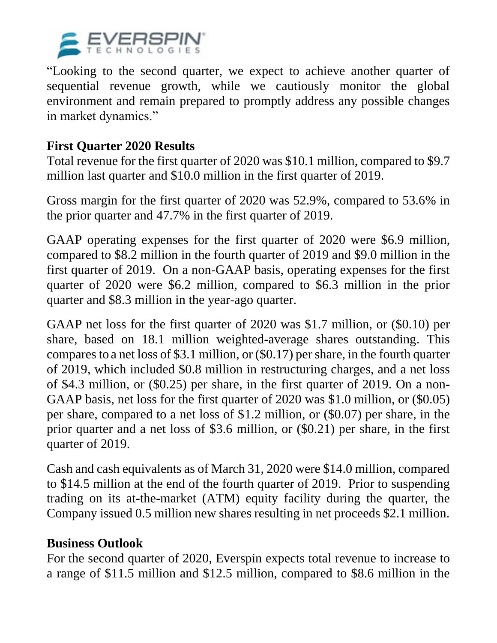

"Looking to the second quarter, we expect to achieve another quarter of sequential revenue growth, while we cautiously monitor the global environment and remain prepared to promptly address any possible changes in market dynamics."

### **First Quarter 2020 Results**

Total revenue for the first quarter of 2020 was \$10.1 million, compared to \$9.7 million last quarter and \$10.0 million in the first quarter of 2019.

Gross margin for the first quarter of 2020 was 52.9%, compared to 53.6% in the prior quarter and 47.7% in the first quarter of 2019.

GAAP operating expenses for the first quarter of 2020 were \$6.9 million, compared to \$8.2 million in the fourth quarter of 2019 and \$9.0 million in the first quarter of 2019. On a non-GAAP basis, operating expenses for the first quarter of 2020 were \$6.2 million, compared to \$6.3 million in the prior quarter and \$8.3 million in the year-ago quarter.

GAAP net loss for the first quarter of 2020 was \$1.7 million, or (\$0.10) per share, based on 18.1 million weighted-average shares outstanding. This compares to a net loss of \$3.1 million, or (\$0.17) per share, in the fourth quarter of 2019, which included \$0.8 million in restructuring charges, and a net loss of \$4.3 million, or (\$0.25) per share, in the first quarter of 2019. On a non-GAAP basis, net loss for the first quarter of 2020 was \$1.0 million, or (\$0.05) per share, compared to a net loss of \$1.2 million, or (\$0.07) per share, in the prior quarter and a net loss of \$3.6 million, or (\$0.21) per share, in the first quarter of 2019.

Cash and cash equivalents as of March 31, 2020 were \$14.0 million, compared to \$14.5 million at the end of the fourth quarter of 2019. Prior to suspending trading on its at-the-market (ATM) equity facility during the quarter, the Company issued 0.5 million new shares resulting in net proceeds \$2.1 million.

### **Business Outlook**

For the second quarter of 2020, Everspin expects total revenue to increase to a range of \$11.5 million and \$12.5 million, compared to \$8.6 million in the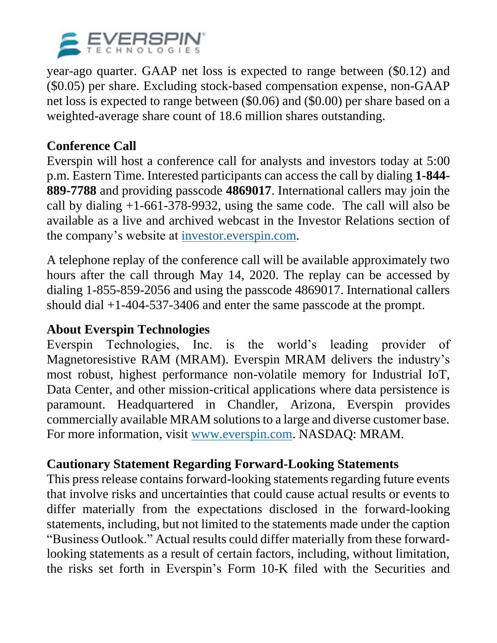

year-ago quarter. GAAP net loss is expected to range between (\$0.12) and (\$0.05) per share. Excluding stock-based compensation expense, non-GAAP net loss is expected to range between (\$0.06) and (\$0.00) per share based on a weighted-average share count of 18.6 million shares outstanding.

# **Conference Call**

Everspin will host a conference call for analysts and investors today at 5:00 p.m. Eastern Time. Interested participants can access the call by dialing **1-844- 889-7788** and providing passcode **4869017**. International callers may join the call by dialing +1-661-378-9932, using the same code. The call will also be available as a live and archived webcast in the Investor Relations section of the company's website at [investor.everspin.com.](http://investor.everspin.com/)

A telephone replay of the conference call will be available approximately two hours after the call through May 14, 2020. The replay can be accessed by dialing 1-855-859-2056 and using the passcode 4869017. International callers should dial +1-404-537-3406 and enter the same passcode at the prompt.

# **About Everspin Technologies**

Everspin Technologies, Inc. is the world's leading provider of Magnetoresistive RAM (MRAM). Everspin MRAM delivers the industry's most robust, highest performance non-volatile memory for Industrial IoT, Data Center, and other mission-critical applications where data persistence is paramount. Headquartered in Chandler, Arizona, Everspin provides commercially available MRAM solutions to a large and diverse customer base. For more information, visit [www.everspin.com.](http://www.everspin.com/) NASDAQ: MRAM.

# **Cautionary Statement Regarding Forward-Looking Statements**

This press release contains forward-looking statements regarding future events that involve risks and uncertainties that could cause actual results or events to differ materially from the expectations disclosed in the forward-looking statements, including, but not limited to the statements made under the caption "Business Outlook." Actual results could differ materially from these forwardlooking statements as a result of certain factors, including, without limitation, the risks set forth in Everspin's Form 10-K filed with the Securities and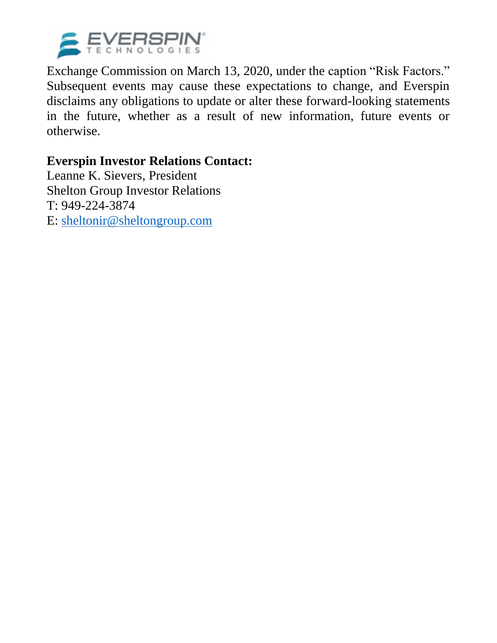

Exchange Commission on March 13, 2020, under the caption "Risk Factors." Subsequent events may cause these expectations to change, and Everspin disclaims any obligations to update or alter these forward-looking statements in the future, whether as a result of new information, future events or otherwise.

### **Everspin Investor Relations Contact:**

Leanne K. Sievers, President Shelton Group Investor Relations T: 949-224-3874 E: [sheltonir@sheltongroup.com](mailto:sheltonir@sheltongroup.com)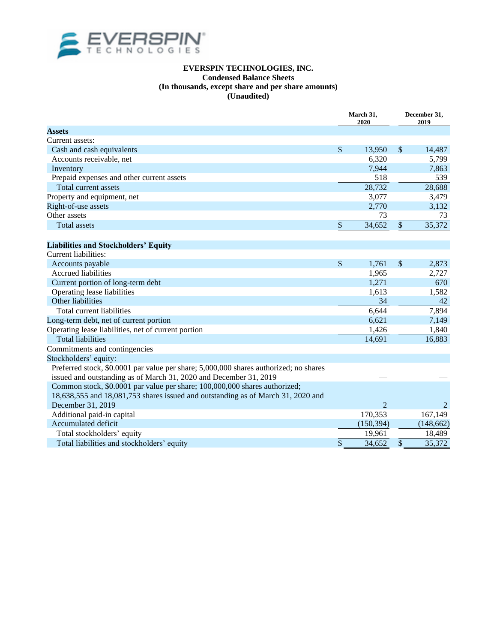

#### **EVERSPIN TECHNOLOGIES, INC. Condensed Balance Sheets (In thousands, except share and per share amounts) (Unaudited)**

|                                                                                       | March 31,<br>2020         |                | December 31,<br>2019 |            |
|---------------------------------------------------------------------------------------|---------------------------|----------------|----------------------|------------|
| <b>Assets</b>                                                                         |                           |                |                      |            |
| Current assets:                                                                       |                           |                |                      |            |
| Cash and cash equivalents                                                             | $\boldsymbol{\mathsf{S}}$ | 13,950         | \$                   | 14,487     |
| Accounts receivable, net                                                              |                           | 6,320          |                      | 5,799      |
| Inventory                                                                             |                           | 7,944          |                      | 7,863      |
| Prepaid expenses and other current assets                                             |                           | 518            |                      | 539        |
| Total current assets                                                                  |                           | 28,732         |                      | 28,688     |
| Property and equipment, net                                                           |                           | 3,077          |                      | 3,479      |
| Right-of-use assets                                                                   |                           | 2,770          |                      | 3,132      |
| Other assets                                                                          |                           | 73             |                      | 73         |
| <b>Total assets</b>                                                                   | $\boldsymbol{\mathsf{S}}$ | 34,652         | $\sqrt$              | 35,372     |
|                                                                                       |                           |                |                      |            |
| <b>Liabilities and Stockholders' Equity</b>                                           |                           |                |                      |            |
| Current liabilities:                                                                  |                           |                |                      |            |
| Accounts payable                                                                      | $\boldsymbol{\mathsf{S}}$ | 1,761          | \$                   | 2,873      |
| <b>Accrued liabilities</b>                                                            |                           | 1,965          |                      | 2,727      |
| Current portion of long-term debt                                                     |                           | 1,271          |                      | 670        |
| Operating lease liabilities                                                           |                           | 1,613          |                      | 1,582      |
| Other liabilities                                                                     |                           | 34             |                      | 42         |
| Total current liabilities                                                             |                           | 6.644          |                      | 7,894      |
| Long-term debt, net of current portion                                                |                           | 6,621          |                      | 7,149      |
| Operating lease liabilities, net of current portion                                   |                           | 1,426          |                      | 1,840      |
| <b>Total liabilities</b>                                                              |                           | 14,691         |                      | 16,883     |
| Commitments and contingencies                                                         |                           |                |                      |            |
| Stockholders' equity:                                                                 |                           |                |                      |            |
| Preferred stock, \$0.0001 par value per share; 5,000,000 shares authorized; no shares |                           |                |                      |            |
| issued and outstanding as of March 31, 2020 and December 31, 2019                     |                           |                |                      |            |
| Common stock, \$0.0001 par value per share; 100,000,000 shares authorized;            |                           |                |                      |            |
| 18,638,555 and 18,081,753 shares issued and outstanding as of March 31, 2020 and      |                           |                |                      |            |
| December 31, 2019                                                                     |                           | $\overline{2}$ |                      | 2          |
| Additional paid-in capital                                                            |                           | 170,353        |                      | 167,149    |
| Accumulated deficit                                                                   |                           | (150, 394)     |                      | (148, 662) |
| Total stockholders' equity                                                            |                           | 19,961         |                      | 18,489     |
| Total liabilities and stockholders' equity                                            | \$                        | 34,652         | \$                   | 35,372     |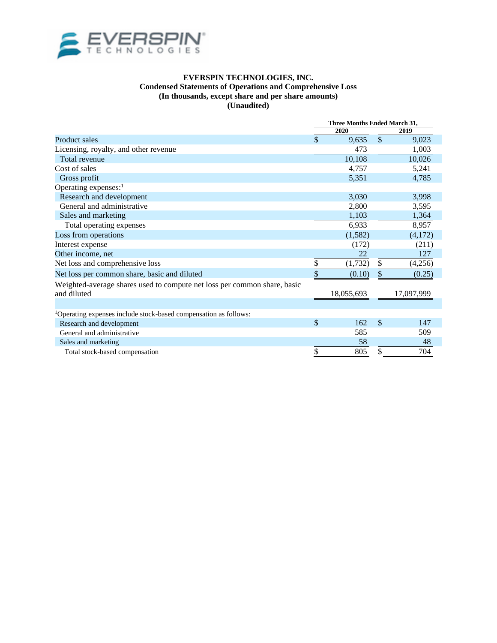

#### **EVERSPIN TECHNOLOGIES, INC. Condensed Statements of Operations and Comprehensive Loss (In thousands, except share and per share amounts) (Unaudited)**

|                                                                              | Three Months Ended March 31, |            |               |            |
|------------------------------------------------------------------------------|------------------------------|------------|---------------|------------|
|                                                                              | 2020                         |            |               | 2019       |
| Product sales                                                                | \$                           | 9,635      | $\mathcal{S}$ | 9,023      |
| Licensing, royalty, and other revenue                                        |                              | 473        |               | 1,003      |
| <b>Total revenue</b>                                                         |                              | 10,108     |               | 10,026     |
| Cost of sales                                                                |                              | 4,757      |               | 5,241      |
| Gross profit                                                                 |                              | 5,351      |               | 4,785      |
| Operating expenses: <sup>1</sup>                                             |                              |            |               |            |
| Research and development                                                     |                              | 3,030      |               | 3,998      |
| General and administrative                                                   |                              | 2,800      |               | 3,595      |
| Sales and marketing                                                          |                              | 1,103      |               | 1,364      |
| Total operating expenses                                                     |                              | 6,933      |               | 8,957      |
| Loss from operations                                                         |                              | (1,582)    |               | (4,172)    |
| Interest expense                                                             |                              | (172)      |               | (211)      |
| Other income, net                                                            |                              | 22         |               | 127        |
| Net loss and comprehensive loss                                              | \$                           | (1,732)    | \$            | (4,256)    |
| Net loss per common share, basic and diluted                                 |                              | (0.10)     |               | (0.25)     |
| Weighted-average shares used to compute net loss per common share, basic     |                              |            |               |            |
| and diluted                                                                  |                              | 18,055,693 |               | 17,097,999 |
|                                                                              |                              |            |               |            |
| <sup>1</sup> Operating expenses include stock-based compensation as follows: |                              |            |               |            |
| Research and development                                                     | \$                           | 162        | \$            | 147        |
| General and administrative                                                   |                              | 585        |               | 509        |
| Sales and marketing                                                          |                              | 58         |               | 48         |
| Total stock-based compensation                                               | \$                           | 805        | \$            | 704        |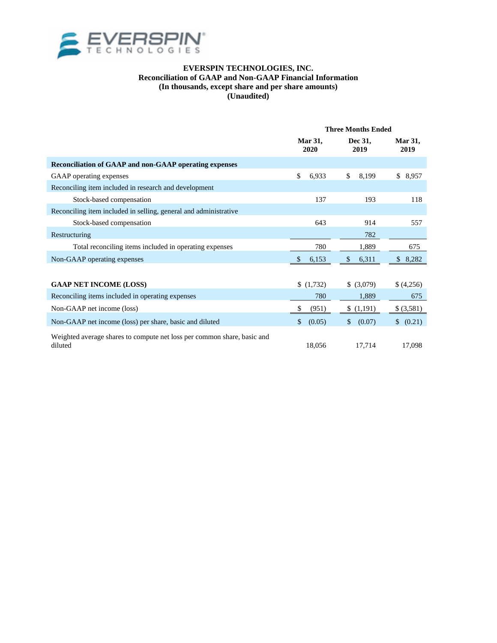

#### **EVERSPIN TECHNOLOGIES, INC. Reconciliation of GAAP and Non-GAAP Financial Information (In thousands, except share and per share amounts) (Unaudited)**

|                                                                                    | <b>Three Months Ended</b> |                 |                        |  |
|------------------------------------------------------------------------------------|---------------------------|-----------------|------------------------|--|
|                                                                                    | <b>Mar 31,</b><br>2020    | Dec 31,<br>2019 | <b>Mar 31,</b><br>2019 |  |
| <b>Reconciliation of GAAP and non-GAAP operating expenses</b>                      |                           |                 |                        |  |
| GAAP operating expenses                                                            | \$<br>6,933               | \$<br>8,199     | \$<br>8,957            |  |
| Reconciling item included in research and development                              |                           |                 |                        |  |
| Stock-based compensation                                                           | 137                       | 193             | 118                    |  |
| Reconciling item included in selling, general and administrative                   |                           |                 |                        |  |
| Stock-based compensation                                                           | 643                       | 914             | 557                    |  |
| Restructuring                                                                      |                           | 782             |                        |  |
| Total reconciling items included in operating expenses                             | 780                       | 1,889           | 675                    |  |
| Non-GAAP operating expenses                                                        | \$<br>6.153               | \$.<br>6,311    | 8,282<br>\$.           |  |
|                                                                                    |                           |                 |                        |  |
| <b>GAAP NET INCOME (LOSS)</b>                                                      | (1,732)                   | \$ (3,079)      | \$(4,256)              |  |
| Reconciling items included in operating expenses                                   | 780                       | 1,889           | 675                    |  |
| Non-GAAP net income (loss)                                                         | (951)                     | (1,191)         | \$(3,581)              |  |
| Non-GAAP net income (loss) per share, basic and diluted                            | \$<br>(0.05)              | \$<br>(0.07)    | (0.21)                 |  |
| Weighted average shares to compute net loss per common share, basic and<br>diluted | 18,056                    | 17,714          | 17,098                 |  |